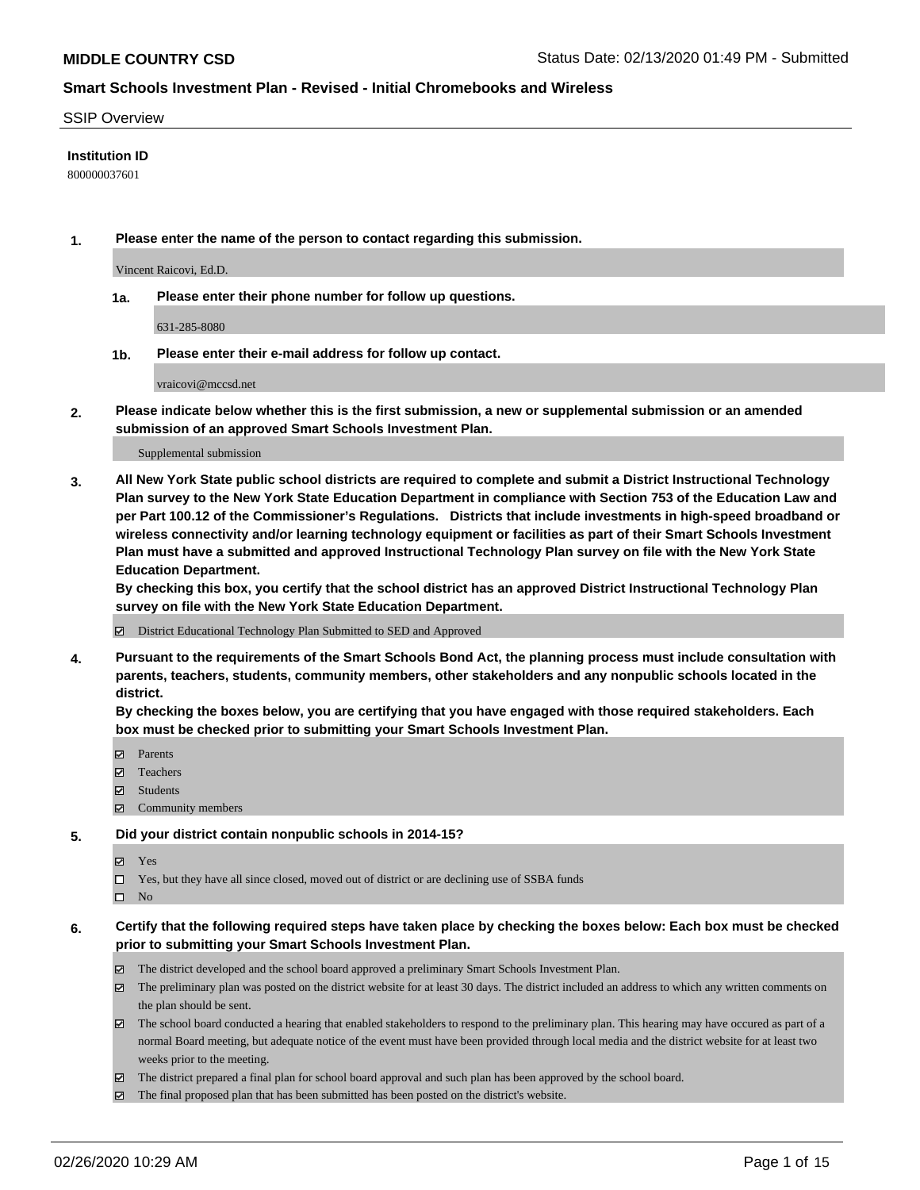#### SSIP Overview

#### **Institution ID**

800000037601

**1. Please enter the name of the person to contact regarding this submission.**

Vincent Raicovi, Ed.D.

**1a. Please enter their phone number for follow up questions.**

631-285-8080

**1b. Please enter their e-mail address for follow up contact.**

vraicovi@mccsd.net

**2. Please indicate below whether this is the first submission, a new or supplemental submission or an amended submission of an approved Smart Schools Investment Plan.**

#### Supplemental submission

**3. All New York State public school districts are required to complete and submit a District Instructional Technology Plan survey to the New York State Education Department in compliance with Section 753 of the Education Law and per Part 100.12 of the Commissioner's Regulations. Districts that include investments in high-speed broadband or wireless connectivity and/or learning technology equipment or facilities as part of their Smart Schools Investment Plan must have a submitted and approved Instructional Technology Plan survey on file with the New York State Education Department.** 

**By checking this box, you certify that the school district has an approved District Instructional Technology Plan survey on file with the New York State Education Department.**

District Educational Technology Plan Submitted to SED and Approved

**4. Pursuant to the requirements of the Smart Schools Bond Act, the planning process must include consultation with parents, teachers, students, community members, other stakeholders and any nonpublic schools located in the district.** 

**By checking the boxes below, you are certifying that you have engaged with those required stakeholders. Each box must be checked prior to submitting your Smart Schools Investment Plan.**

- **マ** Parents
- Teachers
- Students
- Community members

#### **5. Did your district contain nonpublic schools in 2014-15?**

**冈** Yes

Yes, but they have all since closed, moved out of district or are declining use of SSBA funds

 $\square$  No

- **6. Certify that the following required steps have taken place by checking the boxes below: Each box must be checked prior to submitting your Smart Schools Investment Plan.**
	- The district developed and the school board approved a preliminary Smart Schools Investment Plan.
	- $\boxtimes$  The preliminary plan was posted on the district website for at least 30 days. The district included an address to which any written comments on the plan should be sent.
	- $\boxtimes$  The school board conducted a hearing that enabled stakeholders to respond to the preliminary plan. This hearing may have occured as part of a normal Board meeting, but adequate notice of the event must have been provided through local media and the district website for at least two weeks prior to the meeting.
	- The district prepared a final plan for school board approval and such plan has been approved by the school board.
	- $\boxtimes$  The final proposed plan that has been submitted has been posted on the district's website.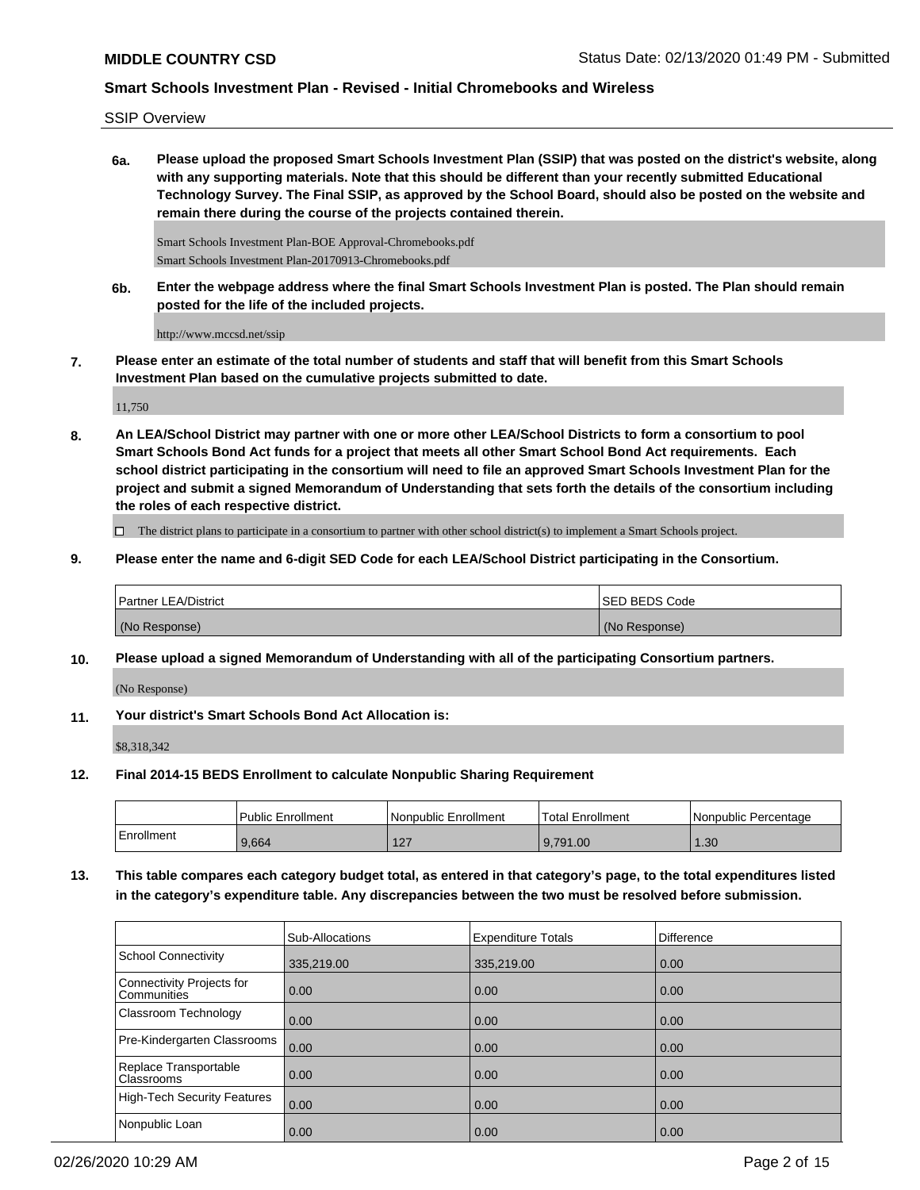SSIP Overview

**6a. Please upload the proposed Smart Schools Investment Plan (SSIP) that was posted on the district's website, along with any supporting materials. Note that this should be different than your recently submitted Educational Technology Survey. The Final SSIP, as approved by the School Board, should also be posted on the website and remain there during the course of the projects contained therein.**

Smart Schools Investment Plan-BOE Approval-Chromebooks.pdf Smart Schools Investment Plan-20170913-Chromebooks.pdf

**6b. Enter the webpage address where the final Smart Schools Investment Plan is posted. The Plan should remain posted for the life of the included projects.**

http://www.mccsd.net/ssip

**7. Please enter an estimate of the total number of students and staff that will benefit from this Smart Schools Investment Plan based on the cumulative projects submitted to date.**

11,750

**8. An LEA/School District may partner with one or more other LEA/School Districts to form a consortium to pool Smart Schools Bond Act funds for a project that meets all other Smart School Bond Act requirements. Each school district participating in the consortium will need to file an approved Smart Schools Investment Plan for the project and submit a signed Memorandum of Understanding that sets forth the details of the consortium including the roles of each respective district.**

 $\Box$  The district plans to participate in a consortium to partner with other school district(s) to implement a Smart Schools project.

**9. Please enter the name and 6-digit SED Code for each LEA/School District participating in the Consortium.**

| <b>Partner LEA/District</b> | <b>ISED BEDS Code</b> |
|-----------------------------|-----------------------|
| (No Response)               | (No Response)         |

**10. Please upload a signed Memorandum of Understanding with all of the participating Consortium partners.**

(No Response)

**11. Your district's Smart Schools Bond Act Allocation is:**

\$8,318,342

**12. Final 2014-15 BEDS Enrollment to calculate Nonpublic Sharing Requirement**

|            | <b>Public Enrollment</b> | l Nonpublic Enrollment | <b>Total Enrollment</b> | l Nonpublic Percentage |
|------------|--------------------------|------------------------|-------------------------|------------------------|
| Enrollment | 9,664                    | 127<br>L               | 9.791.00                | .30                    |

**13. This table compares each category budget total, as entered in that category's page, to the total expenditures listed in the category's expenditure table. Any discrepancies between the two must be resolved before submission.**

|                                                 | Sub-Allocations | <b>Expenditure Totals</b> | <b>Difference</b> |
|-------------------------------------------------|-----------------|---------------------------|-------------------|
| School Connectivity                             | 335,219.00      | 335,219.00                | 0.00              |
| Connectivity Projects for<br><b>Communities</b> | 0.00            | 0.00                      | 0.00              |
| Classroom Technology                            | 0.00            | 0.00                      | 0.00              |
| Pre-Kindergarten Classrooms                     | 0.00            | 0.00                      | 0.00              |
| Replace Transportable<br>Classrooms             | 0.00            | 0.00                      | 0.00              |
| High-Tech Security Features                     | 0.00            | 0.00                      | 0.00              |
| Nonpublic Loan                                  | 0.00            | 0.00                      | 0.00              |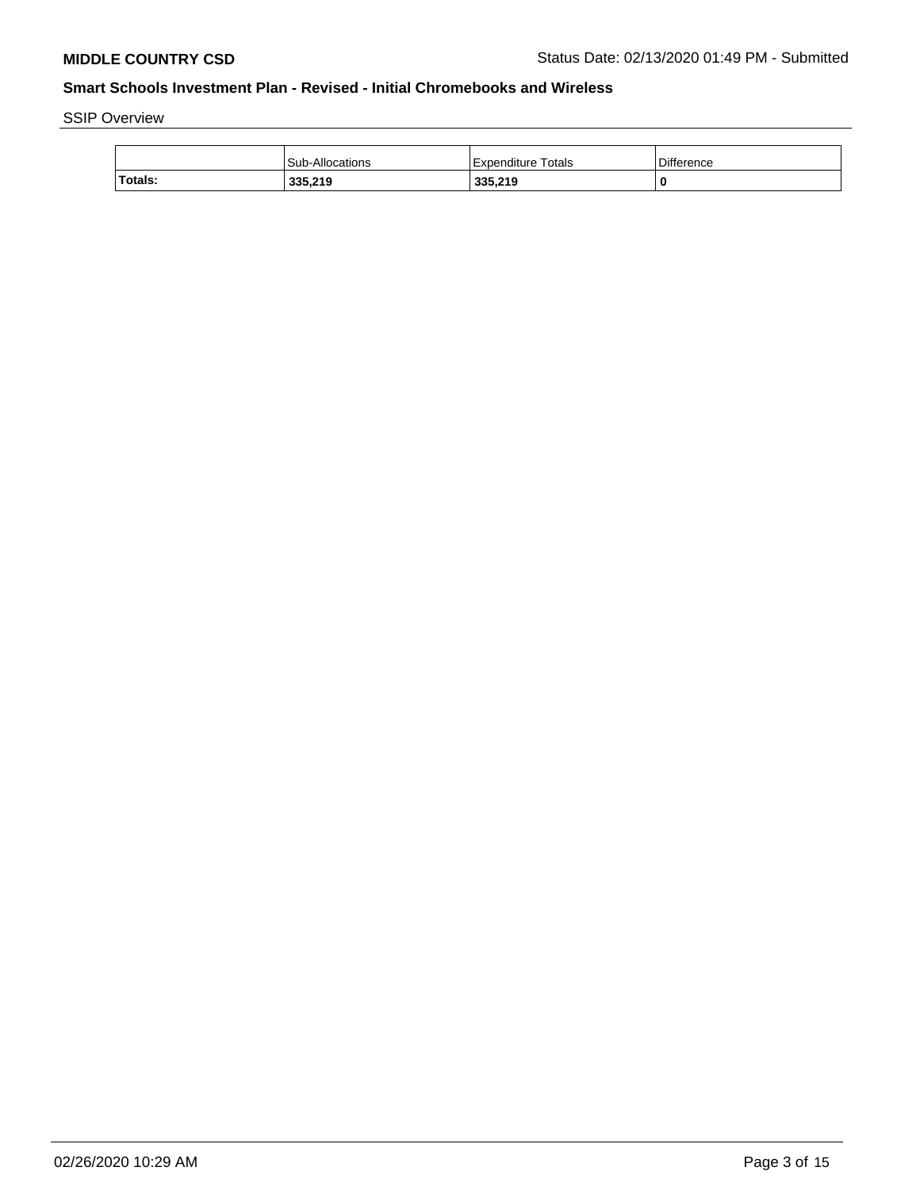SSIP Overview

|         | <b>Sub-Allocations</b> | Expenditure Totals | <b>Difference</b> |
|---------|------------------------|--------------------|-------------------|
| Totals: | 335,219                | 335.219            |                   |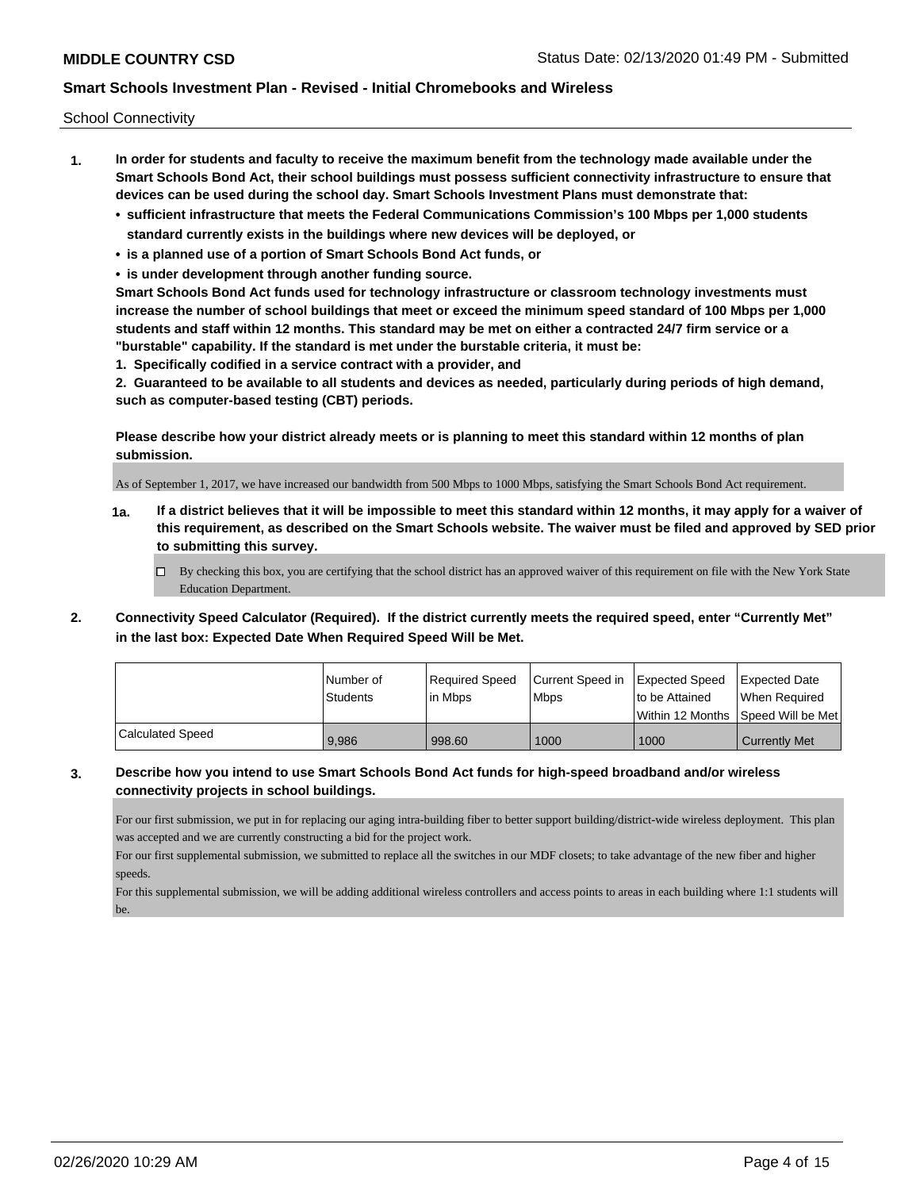School Connectivity

- **1. In order for students and faculty to receive the maximum benefit from the technology made available under the Smart Schools Bond Act, their school buildings must possess sufficient connectivity infrastructure to ensure that devices can be used during the school day. Smart Schools Investment Plans must demonstrate that:**
	- **• sufficient infrastructure that meets the Federal Communications Commission's 100 Mbps per 1,000 students standard currently exists in the buildings where new devices will be deployed, or**
	- **• is a planned use of a portion of Smart Schools Bond Act funds, or**
	- **• is under development through another funding source.**

**Smart Schools Bond Act funds used for technology infrastructure or classroom technology investments must increase the number of school buildings that meet or exceed the minimum speed standard of 100 Mbps per 1,000 students and staff within 12 months. This standard may be met on either a contracted 24/7 firm service or a "burstable" capability. If the standard is met under the burstable criteria, it must be:**

**1. Specifically codified in a service contract with a provider, and**

**2. Guaranteed to be available to all students and devices as needed, particularly during periods of high demand, such as computer-based testing (CBT) periods.**

**Please describe how your district already meets or is planning to meet this standard within 12 months of plan submission.**

As of September 1, 2017, we have increased our bandwidth from 500 Mbps to 1000 Mbps, satisfying the Smart Schools Bond Act requirement.

**1a. If a district believes that it will be impossible to meet this standard within 12 months, it may apply for a waiver of this requirement, as described on the Smart Schools website. The waiver must be filed and approved by SED prior to submitting this survey.**

 $\Box$  By checking this box, you are certifying that the school district has an approved waiver of this requirement on file with the New York State Education Department.

**2. Connectivity Speed Calculator (Required). If the district currently meets the required speed, enter "Currently Met" in the last box: Expected Date When Required Speed Will be Met.**

|                  | l Number of | Required Speed | Current Speed in Expected Speed |                | <b>Expected Date</b>                |
|------------------|-------------|----------------|---------------------------------|----------------|-------------------------------------|
|                  | Students    | lin Mbps       | <b>Mbps</b>                     | to be Attained | When Reauired                       |
|                  |             |                |                                 |                | Within 12 Months 1Speed Will be Met |
| Calculated Speed | 9.986       | 998.60         | 1000                            | 1000           | <b>Currently Met</b>                |

### **3. Describe how you intend to use Smart Schools Bond Act funds for high-speed broadband and/or wireless connectivity projects in school buildings.**

For our first submission, we put in for replacing our aging intra-building fiber to better support building/district-wide wireless deployment. This plan was accepted and we are currently constructing a bid for the project work.

For our first supplemental submission, we submitted to replace all the switches in our MDF closets; to take advantage of the new fiber and higher speeds.

For this supplemental submission, we will be adding additional wireless controllers and access points to areas in each building where 1:1 students will be.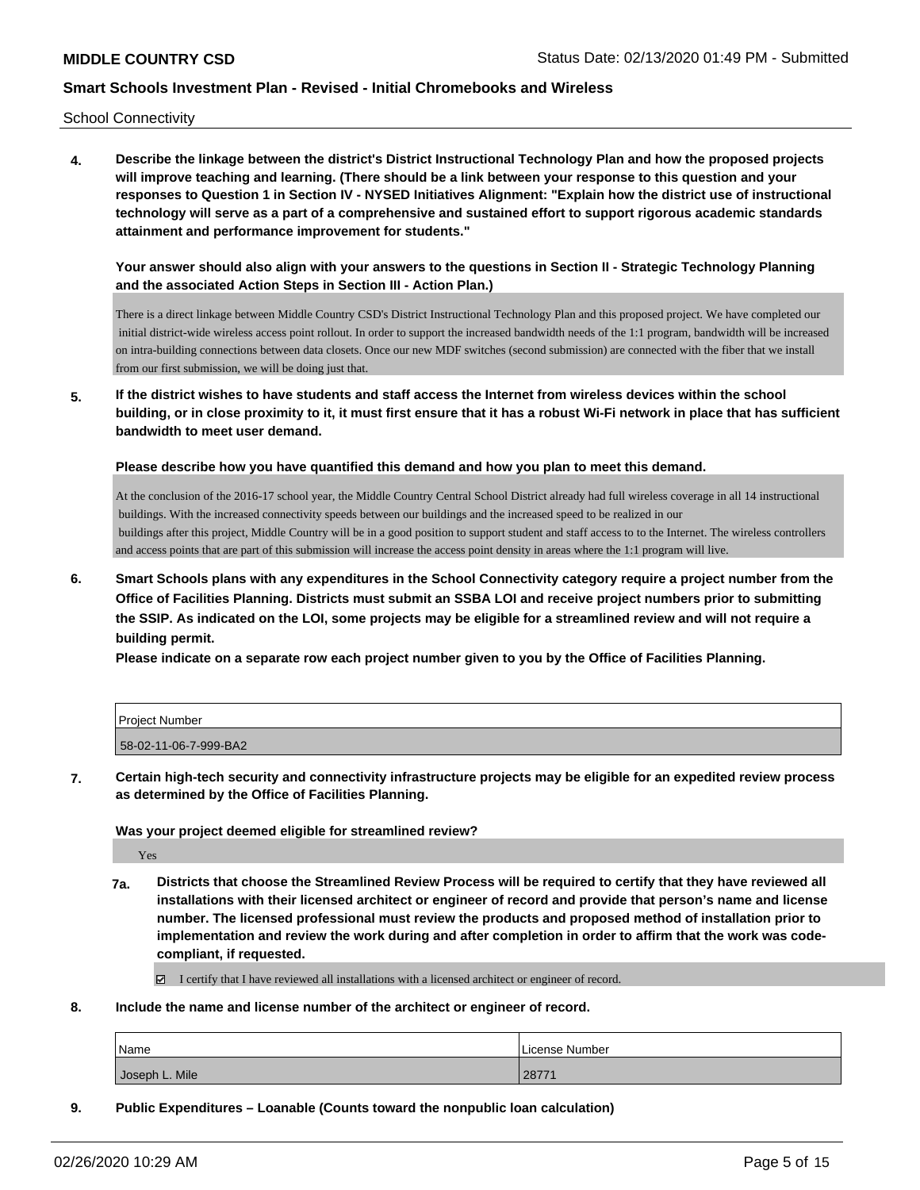School Connectivity

**4. Describe the linkage between the district's District Instructional Technology Plan and how the proposed projects will improve teaching and learning. (There should be a link between your response to this question and your responses to Question 1 in Section IV - NYSED Initiatives Alignment: "Explain how the district use of instructional technology will serve as a part of a comprehensive and sustained effort to support rigorous academic standards attainment and performance improvement for students."** 

**Your answer should also align with your answers to the questions in Section II - Strategic Technology Planning and the associated Action Steps in Section III - Action Plan.)**

There is a direct linkage between Middle Country CSD's District Instructional Technology Plan and this proposed project. We have completed our initial district-wide wireless access point rollout. In order to support the increased bandwidth needs of the 1:1 program, bandwidth will be increased on intra-building connections between data closets. Once our new MDF switches (second submission) are connected with the fiber that we install from our first submission, we will be doing just that.

**5. If the district wishes to have students and staff access the Internet from wireless devices within the school building, or in close proximity to it, it must first ensure that it has a robust Wi-Fi network in place that has sufficient bandwidth to meet user demand.**

**Please describe how you have quantified this demand and how you plan to meet this demand.**

At the conclusion of the 2016-17 school year, the Middle Country Central School District already had full wireless coverage in all 14 instructional buildings. With the increased connectivity speeds between our buildings and the increased speed to be realized in our buildings after this project, Middle Country will be in a good position to support student and staff access to to the Internet. The wireless controllers and access points that are part of this submission will increase the access point density in areas where the 1:1 program will live.

**6. Smart Schools plans with any expenditures in the School Connectivity category require a project number from the Office of Facilities Planning. Districts must submit an SSBA LOI and receive project numbers prior to submitting the SSIP. As indicated on the LOI, some projects may be eligible for a streamlined review and will not require a building permit.**

**Please indicate on a separate row each project number given to you by the Office of Facilities Planning.**

| Project Number        |  |
|-----------------------|--|
| 58-02-11-06-7-999-BA2 |  |

**7. Certain high-tech security and connectivity infrastructure projects may be eligible for an expedited review process as determined by the Office of Facilities Planning.**

#### **Was your project deemed eligible for streamlined review?**

Yes

**7a. Districts that choose the Streamlined Review Process will be required to certify that they have reviewed all installations with their licensed architect or engineer of record and provide that person's name and license number. The licensed professional must review the products and proposed method of installation prior to implementation and review the work during and after completion in order to affirm that the work was codecompliant, if requested.**

I certify that I have reviewed all installations with a licensed architect or engineer of record.

**8. Include the name and license number of the architect or engineer of record.**

| Name           | License Number   |
|----------------|------------------|
| Joseph L. Mile | $\sim$<br>2077 I |

**9. Public Expenditures – Loanable (Counts toward the nonpublic loan calculation)**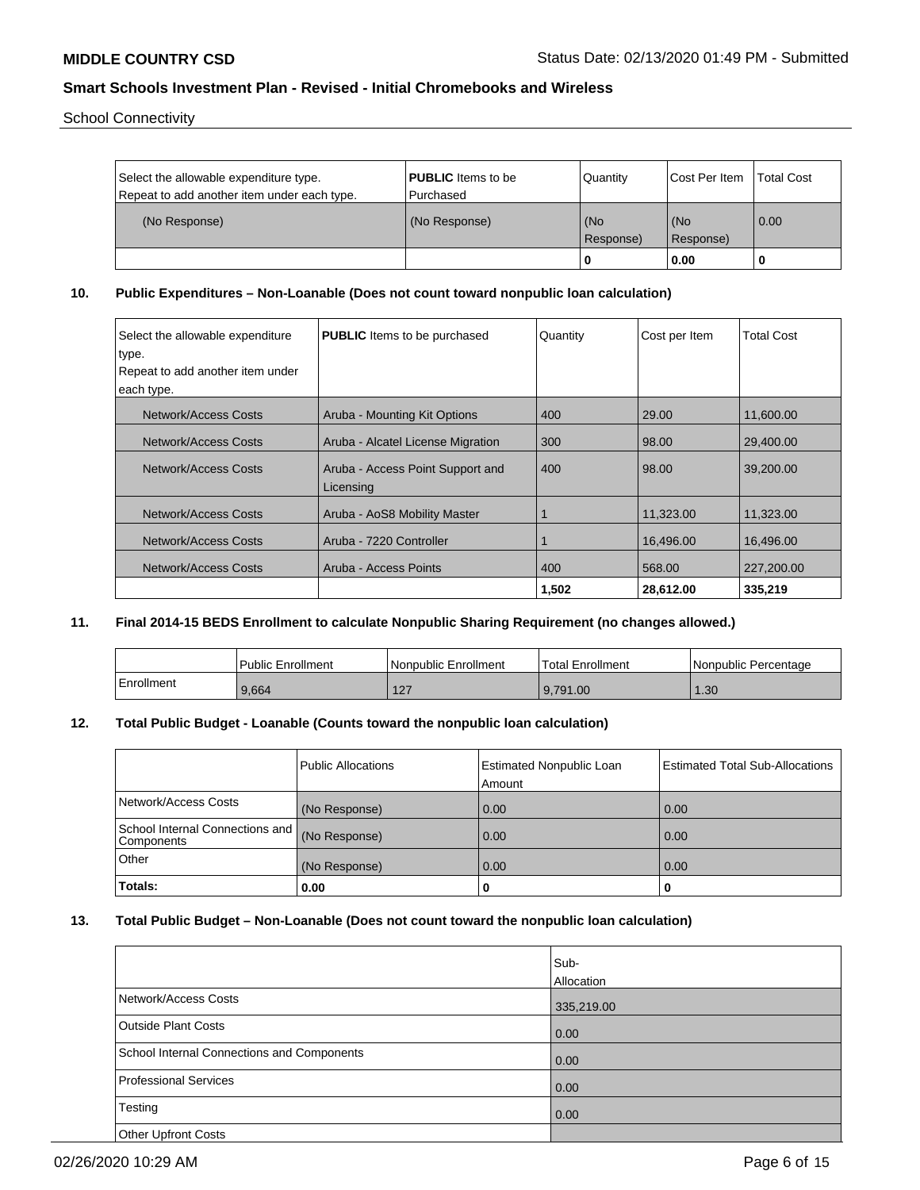School Connectivity

| Select the allowable expenditure type.<br>Repeat to add another item under each type. | <b>PUBLIC</b> Items to be<br>l Purchased | Quantity         | <b>Cost Per Item</b> | <b>Total Cost</b> |
|---------------------------------------------------------------------------------------|------------------------------------------|------------------|----------------------|-------------------|
| (No Response)                                                                         | (No Response)                            | (No<br>Response) | (No<br>(Response)    | 0.00              |
|                                                                                       |                                          |                  | 0.00                 |                   |

**10. Public Expenditures – Non-Loanable (Does not count toward nonpublic loan calculation)**

| Select the allowable expenditure<br>type. | <b>PUBLIC</b> Items to be purchased           | Quantity | Cost per Item | <b>Total Cost</b> |
|-------------------------------------------|-----------------------------------------------|----------|---------------|-------------------|
| Repeat to add another item under          |                                               |          |               |                   |
| each type.                                |                                               |          |               |                   |
| Network/Access Costs                      | Aruba - Mounting Kit Options                  | 400      | 29.00         | 11,600.00         |
| Network/Access Costs                      | Aruba - Alcatel License Migration             | 300      | 98.00         | 29.400.00         |
| Network/Access Costs                      | Aruba - Access Point Support and<br>Licensing | 400      | 98.00         | 39,200,00         |
| Network/Access Costs                      | Aruba - AoS8 Mobility Master                  |          | 11,323.00     | 11,323.00         |
| Network/Access Costs                      | Aruba - 7220 Controller                       |          | 16,496.00     | 16,496.00         |
| Network/Access Costs                      | Aruba - Access Points                         | 400      | 568.00        | 227,200.00        |
|                                           |                                               | 1,502    | 28,612.00     | 335,219           |

**11. Final 2014-15 BEDS Enrollment to calculate Nonpublic Sharing Requirement (no changes allowed.)**

|            | Public Enrollment | Nonpublic Enrollment       | Total Enrollment | I Nonpublic Percentage |
|------------|-------------------|----------------------------|------------------|------------------------|
| Enrollment | 9.664             | $\sqrt{2}$<br>$\mathbf{Z}$ | 9.791.00         | .30 <sub>1</sub>       |

# **12. Total Public Budget - Loanable (Counts toward the nonpublic loan calculation)**

|                                               | Public Allocations | Estimated Nonpublic Loan<br>Amount | <b>Estimated Total Sub-Allocations</b> |
|-----------------------------------------------|--------------------|------------------------------------|----------------------------------------|
| Network/Access Costs                          | (No Response)      | 0.00                               | 0.00                                   |
| School Internal Connections and<br>Components | (No Response)      | 0.00                               | 0.00                                   |
| <b>Other</b>                                  | (No Response)      | 0.00                               | 0.00                                   |
| <b>Totals:</b>                                | 0.00               | U                                  |                                        |

#### **13. Total Public Budget – Non-Loanable (Does not count toward the nonpublic loan calculation)**

|                                            | Sub-<br>Allocation |
|--------------------------------------------|--------------------|
| Network/Access Costs                       | 335,219.00         |
| <b>Outside Plant Costs</b>                 | 0.00               |
| School Internal Connections and Components | 0.00               |
| <b>Professional Services</b>               | 0.00               |
| Testing                                    | 0.00               |
| <b>Other Upfront Costs</b>                 |                    |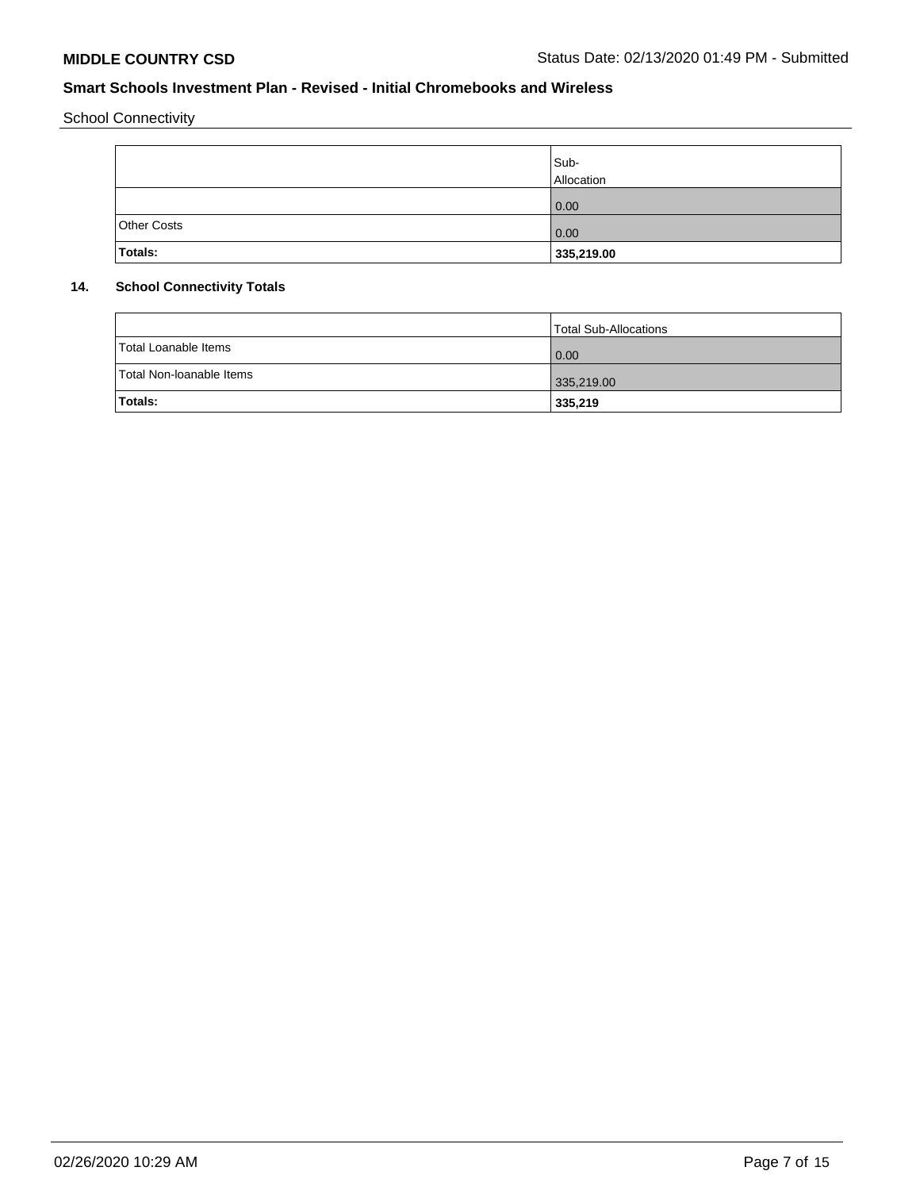School Connectivity

|                    | Sub-<br>Allocation |
|--------------------|--------------------|
|                    | 0.00               |
| <b>Other Costs</b> | 0.00               |
| Totals:            | 335,219.00         |

# **14. School Connectivity Totals**

|                          | Total Sub-Allocations |
|--------------------------|-----------------------|
| Total Loanable Items     | 0.00                  |
| Total Non-Ioanable Items | 335,219.00            |
| Totals:                  | 335,219               |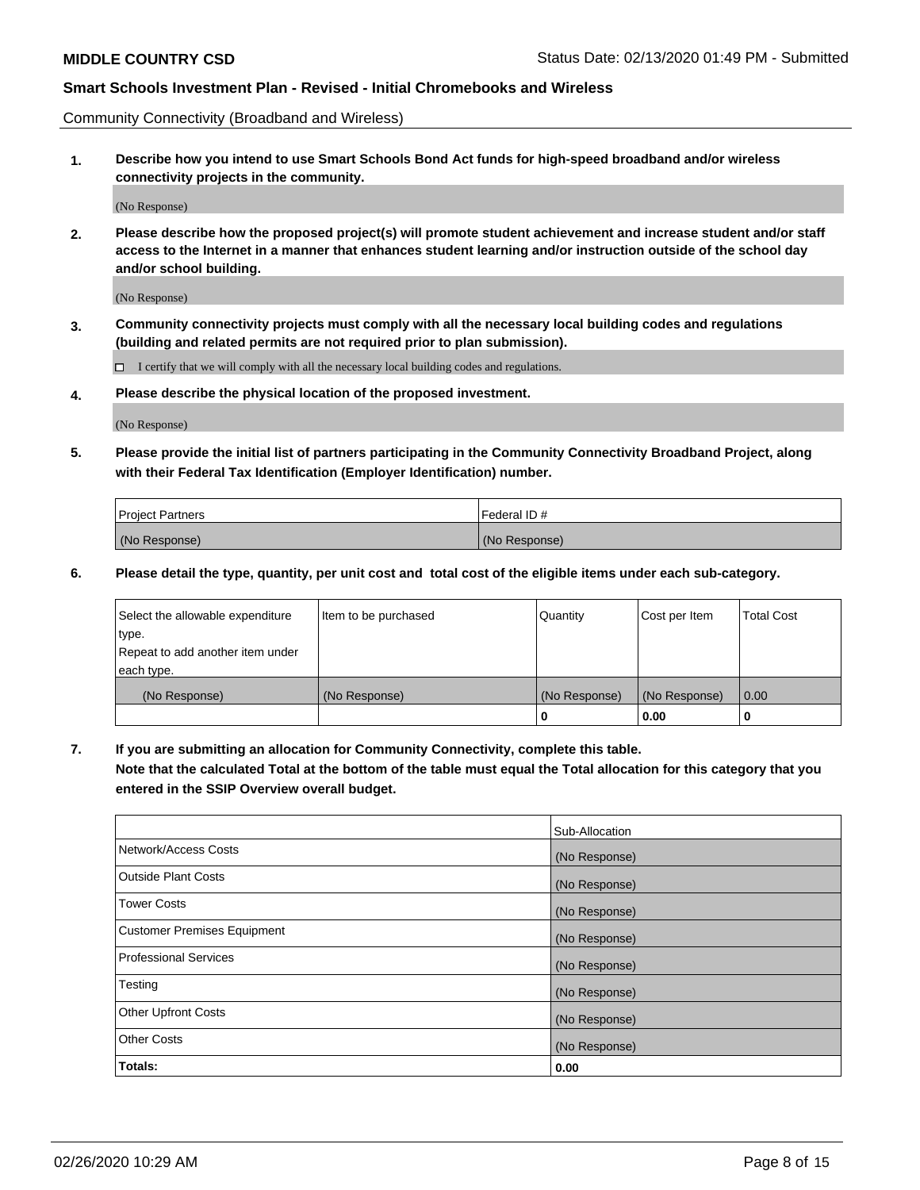Community Connectivity (Broadband and Wireless)

**1. Describe how you intend to use Smart Schools Bond Act funds for high-speed broadband and/or wireless connectivity projects in the community.**

(No Response)

**2. Please describe how the proposed project(s) will promote student achievement and increase student and/or staff access to the Internet in a manner that enhances student learning and/or instruction outside of the school day and/or school building.**

(No Response)

**3. Community connectivity projects must comply with all the necessary local building codes and regulations (building and related permits are not required prior to plan submission).**

 $\Box$  I certify that we will comply with all the necessary local building codes and regulations.

**4. Please describe the physical location of the proposed investment.**

(No Response)

**5. Please provide the initial list of partners participating in the Community Connectivity Broadband Project, along with their Federal Tax Identification (Employer Identification) number.**

| <b>Project Partners</b> | l Federal ID # |
|-------------------------|----------------|
| (No Response)           | (No Response)  |

**6. Please detail the type, quantity, per unit cost and total cost of the eligible items under each sub-category.**

| Select the allowable expenditure | Item to be purchased | Quantity      | Cost per Item | <b>Total Cost</b> |
|----------------------------------|----------------------|---------------|---------------|-------------------|
| type.                            |                      |               |               |                   |
| Repeat to add another item under |                      |               |               |                   |
| each type.                       |                      |               |               |                   |
| (No Response)                    | (No Response)        | (No Response) | (No Response) | 0.00              |
|                                  |                      | U             | 0.00          | -0                |

**7. If you are submitting an allocation for Community Connectivity, complete this table.**

**Note that the calculated Total at the bottom of the table must equal the Total allocation for this category that you entered in the SSIP Overview overall budget.**

|                                    | Sub-Allocation |
|------------------------------------|----------------|
| Network/Access Costs               | (No Response)  |
| Outside Plant Costs                | (No Response)  |
| <b>Tower Costs</b>                 | (No Response)  |
| <b>Customer Premises Equipment</b> | (No Response)  |
| <b>Professional Services</b>       | (No Response)  |
| Testing                            | (No Response)  |
| <b>Other Upfront Costs</b>         | (No Response)  |
| <b>Other Costs</b>                 | (No Response)  |
| Totals:                            | 0.00           |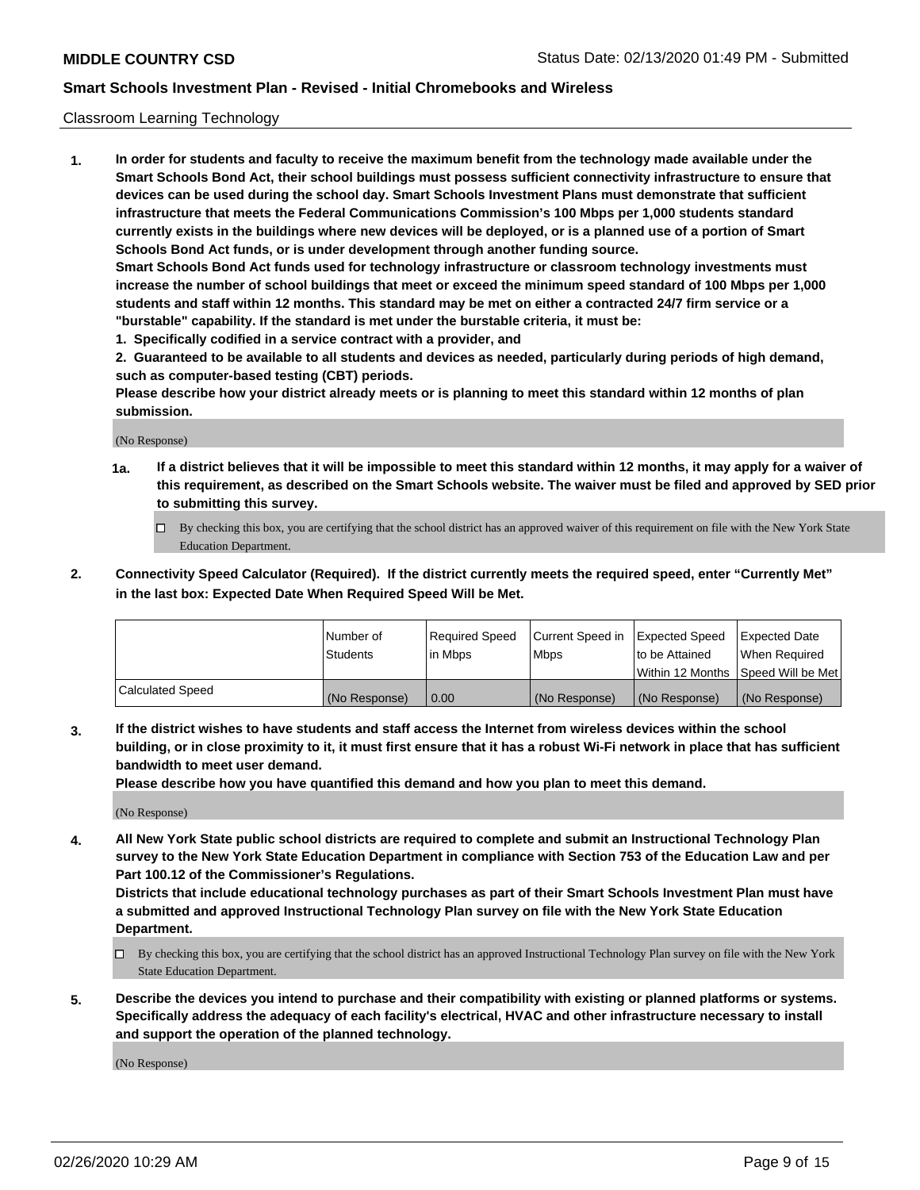#### Classroom Learning Technology

**1. In order for students and faculty to receive the maximum benefit from the technology made available under the Smart Schools Bond Act, their school buildings must possess sufficient connectivity infrastructure to ensure that devices can be used during the school day. Smart Schools Investment Plans must demonstrate that sufficient infrastructure that meets the Federal Communications Commission's 100 Mbps per 1,000 students standard currently exists in the buildings where new devices will be deployed, or is a planned use of a portion of Smart Schools Bond Act funds, or is under development through another funding source. Smart Schools Bond Act funds used for technology infrastructure or classroom technology investments must increase the number of school buildings that meet or exceed the minimum speed standard of 100 Mbps per 1,000 students and staff within 12 months. This standard may be met on either a contracted 24/7 firm service or a "burstable" capability. If the standard is met under the burstable criteria, it must be:**

**1. Specifically codified in a service contract with a provider, and**

**2. Guaranteed to be available to all students and devices as needed, particularly during periods of high demand, such as computer-based testing (CBT) periods.**

**Please describe how your district already meets or is planning to meet this standard within 12 months of plan submission.**

(No Response)

- **1a. If a district believes that it will be impossible to meet this standard within 12 months, it may apply for a waiver of this requirement, as described on the Smart Schools website. The waiver must be filed and approved by SED prior to submitting this survey.**
	- By checking this box, you are certifying that the school district has an approved waiver of this requirement on file with the New York State Education Department.
- **2. Connectivity Speed Calculator (Required). If the district currently meets the required speed, enter "Currently Met" in the last box: Expected Date When Required Speed Will be Met.**

|                  | l Number of     | Required Speed | Current Speed in | <b>Expected Speed</b> | <b>Expected Date</b>                |
|------------------|-----------------|----------------|------------------|-----------------------|-------------------------------------|
|                  | <b>Students</b> | l in Mbps      | l Mbps           | to be Attained        | When Required                       |
|                  |                 |                |                  |                       | Within 12 Months  Speed Will be Met |
| Calculated Speed | (No Response)   | 0.00           | (No Response)    | l (No Response)       | (No Response)                       |

**3. If the district wishes to have students and staff access the Internet from wireless devices within the school building, or in close proximity to it, it must first ensure that it has a robust Wi-Fi network in place that has sufficient bandwidth to meet user demand.**

**Please describe how you have quantified this demand and how you plan to meet this demand.**

(No Response)

**4. All New York State public school districts are required to complete and submit an Instructional Technology Plan survey to the New York State Education Department in compliance with Section 753 of the Education Law and per Part 100.12 of the Commissioner's Regulations.**

**Districts that include educational technology purchases as part of their Smart Schools Investment Plan must have a submitted and approved Instructional Technology Plan survey on file with the New York State Education Department.**

- By checking this box, you are certifying that the school district has an approved Instructional Technology Plan survey on file with the New York State Education Department.
- **5. Describe the devices you intend to purchase and their compatibility with existing or planned platforms or systems. Specifically address the adequacy of each facility's electrical, HVAC and other infrastructure necessary to install and support the operation of the planned technology.**

(No Response)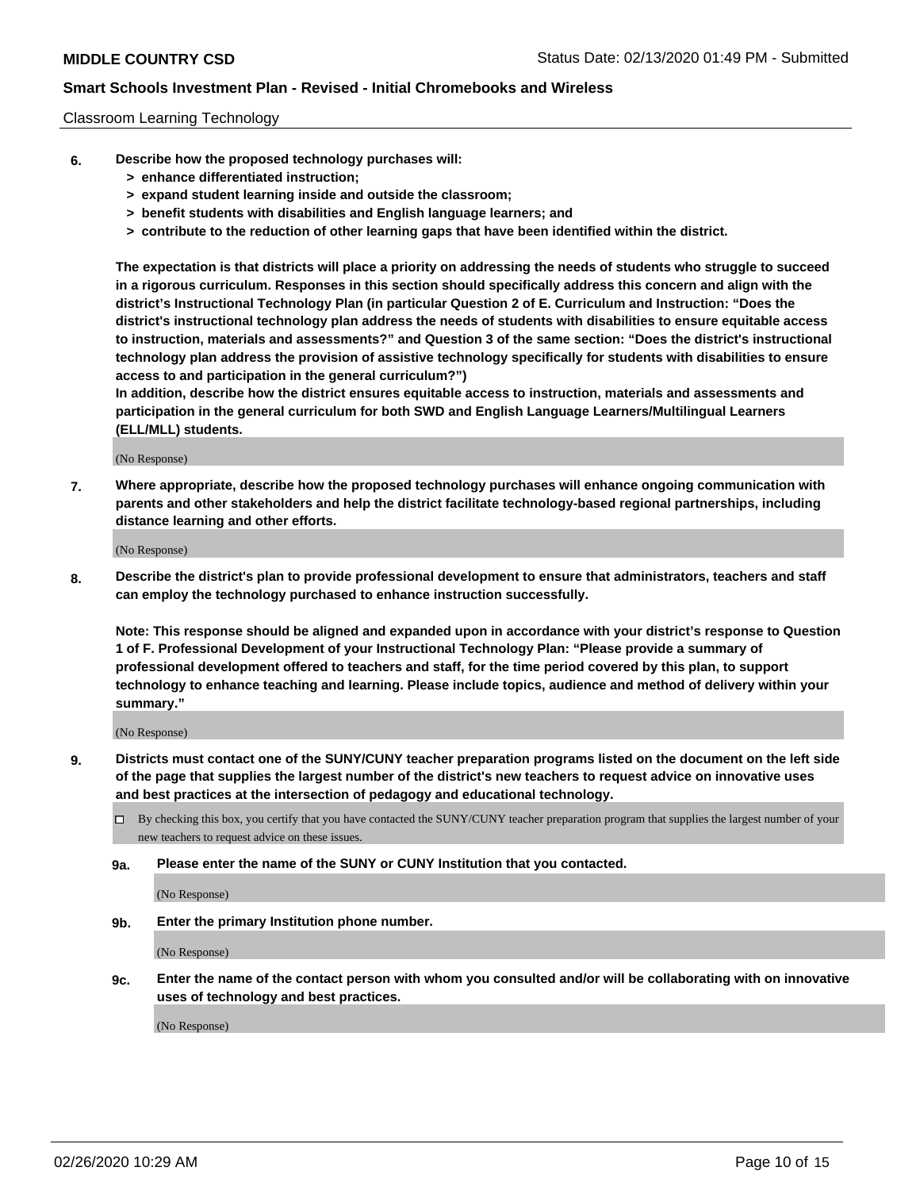#### Classroom Learning Technology

- **6. Describe how the proposed technology purchases will:**
	- **> enhance differentiated instruction;**
	- **> expand student learning inside and outside the classroom;**
	- **> benefit students with disabilities and English language learners; and**
	- **> contribute to the reduction of other learning gaps that have been identified within the district.**

**The expectation is that districts will place a priority on addressing the needs of students who struggle to succeed in a rigorous curriculum. Responses in this section should specifically address this concern and align with the district's Instructional Technology Plan (in particular Question 2 of E. Curriculum and Instruction: "Does the district's instructional technology plan address the needs of students with disabilities to ensure equitable access to instruction, materials and assessments?" and Question 3 of the same section: "Does the district's instructional technology plan address the provision of assistive technology specifically for students with disabilities to ensure access to and participation in the general curriculum?")**

**In addition, describe how the district ensures equitable access to instruction, materials and assessments and participation in the general curriculum for both SWD and English Language Learners/Multilingual Learners (ELL/MLL) students.**

(No Response)

**7. Where appropriate, describe how the proposed technology purchases will enhance ongoing communication with parents and other stakeholders and help the district facilitate technology-based regional partnerships, including distance learning and other efforts.**

(No Response)

**8. Describe the district's plan to provide professional development to ensure that administrators, teachers and staff can employ the technology purchased to enhance instruction successfully.**

**Note: This response should be aligned and expanded upon in accordance with your district's response to Question 1 of F. Professional Development of your Instructional Technology Plan: "Please provide a summary of professional development offered to teachers and staff, for the time period covered by this plan, to support technology to enhance teaching and learning. Please include topics, audience and method of delivery within your summary."**

(No Response)

- **9. Districts must contact one of the SUNY/CUNY teacher preparation programs listed on the document on the left side of the page that supplies the largest number of the district's new teachers to request advice on innovative uses and best practices at the intersection of pedagogy and educational technology.**
	- By checking this box, you certify that you have contacted the SUNY/CUNY teacher preparation program that supplies the largest number of your new teachers to request advice on these issues.
	- **9a. Please enter the name of the SUNY or CUNY Institution that you contacted.**

(No Response)

**9b. Enter the primary Institution phone number.**

(No Response)

**9c. Enter the name of the contact person with whom you consulted and/or will be collaborating with on innovative uses of technology and best practices.**

(No Response)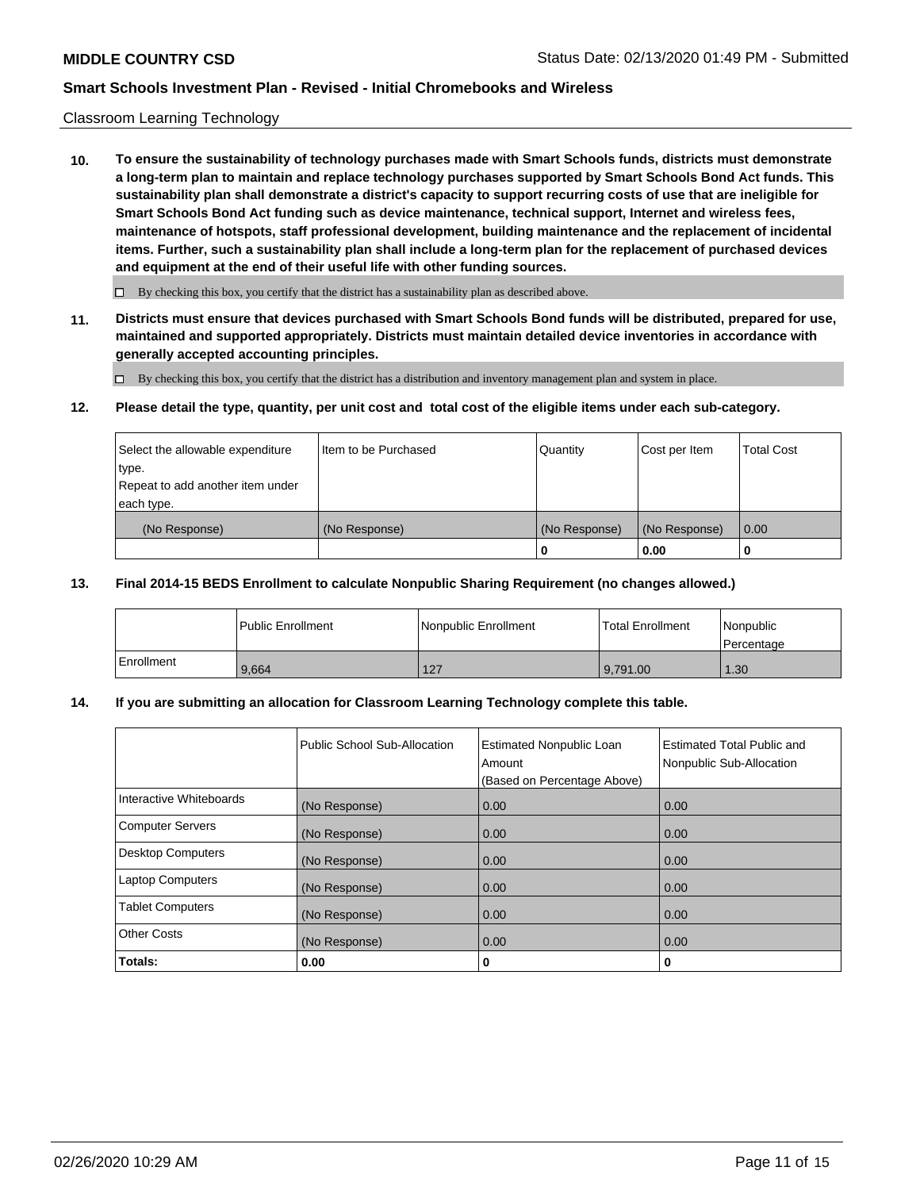#### Classroom Learning Technology

**10. To ensure the sustainability of technology purchases made with Smart Schools funds, districts must demonstrate a long-term plan to maintain and replace technology purchases supported by Smart Schools Bond Act funds. This sustainability plan shall demonstrate a district's capacity to support recurring costs of use that are ineligible for Smart Schools Bond Act funding such as device maintenance, technical support, Internet and wireless fees, maintenance of hotspots, staff professional development, building maintenance and the replacement of incidental items. Further, such a sustainability plan shall include a long-term plan for the replacement of purchased devices and equipment at the end of their useful life with other funding sources.**

 $\Box$  By checking this box, you certify that the district has a sustainability plan as described above.

**11. Districts must ensure that devices purchased with Smart Schools Bond funds will be distributed, prepared for use, maintained and supported appropriately. Districts must maintain detailed device inventories in accordance with generally accepted accounting principles.**

By checking this box, you certify that the district has a distribution and inventory management plan and system in place.

#### **12. Please detail the type, quantity, per unit cost and total cost of the eligible items under each sub-category.**

| Select the allowable expenditure<br>type.      | Item to be Purchased | Quantity      | Cost per Item | <b>Total Cost</b> |
|------------------------------------------------|----------------------|---------------|---------------|-------------------|
| Repeat to add another item under<br>each type. |                      |               |               |                   |
| (No Response)                                  | (No Response)        | (No Response) | (No Response) | 0.00              |
|                                                |                      | 0             | 0.00          |                   |

#### **13. Final 2014-15 BEDS Enrollment to calculate Nonpublic Sharing Requirement (no changes allowed.)**

|              | l Public Enrollment | Nonpublic Enrollment | <b>Total Enrollment</b> | Nonpublic<br>l Percentage |
|--------------|---------------------|----------------------|-------------------------|---------------------------|
| l Enrollment | 9.664               | 127                  | 9.791.00                | 1.30                      |

### **14. If you are submitting an allocation for Classroom Learning Technology complete this table.**

|                         | Public School Sub-Allocation | <b>Estimated Nonpublic Loan</b><br>Amount<br>(Based on Percentage Above) | Estimated Total Public and<br>Nonpublic Sub-Allocation |
|-------------------------|------------------------------|--------------------------------------------------------------------------|--------------------------------------------------------|
| Interactive Whiteboards | (No Response)                | 0.00                                                                     | 0.00                                                   |
| Computer Servers        | (No Response)                | 0.00                                                                     | 0.00                                                   |
| Desktop Computers       | (No Response)                | 0.00                                                                     | 0.00                                                   |
| <b>Laptop Computers</b> | (No Response)                | 0.00                                                                     | 0.00                                                   |
| <b>Tablet Computers</b> | (No Response)                | 0.00                                                                     | 0.00                                                   |
| Other Costs             | (No Response)                | 0.00                                                                     | 0.00                                                   |
| Totals:                 | 0.00                         | 0                                                                        | 0                                                      |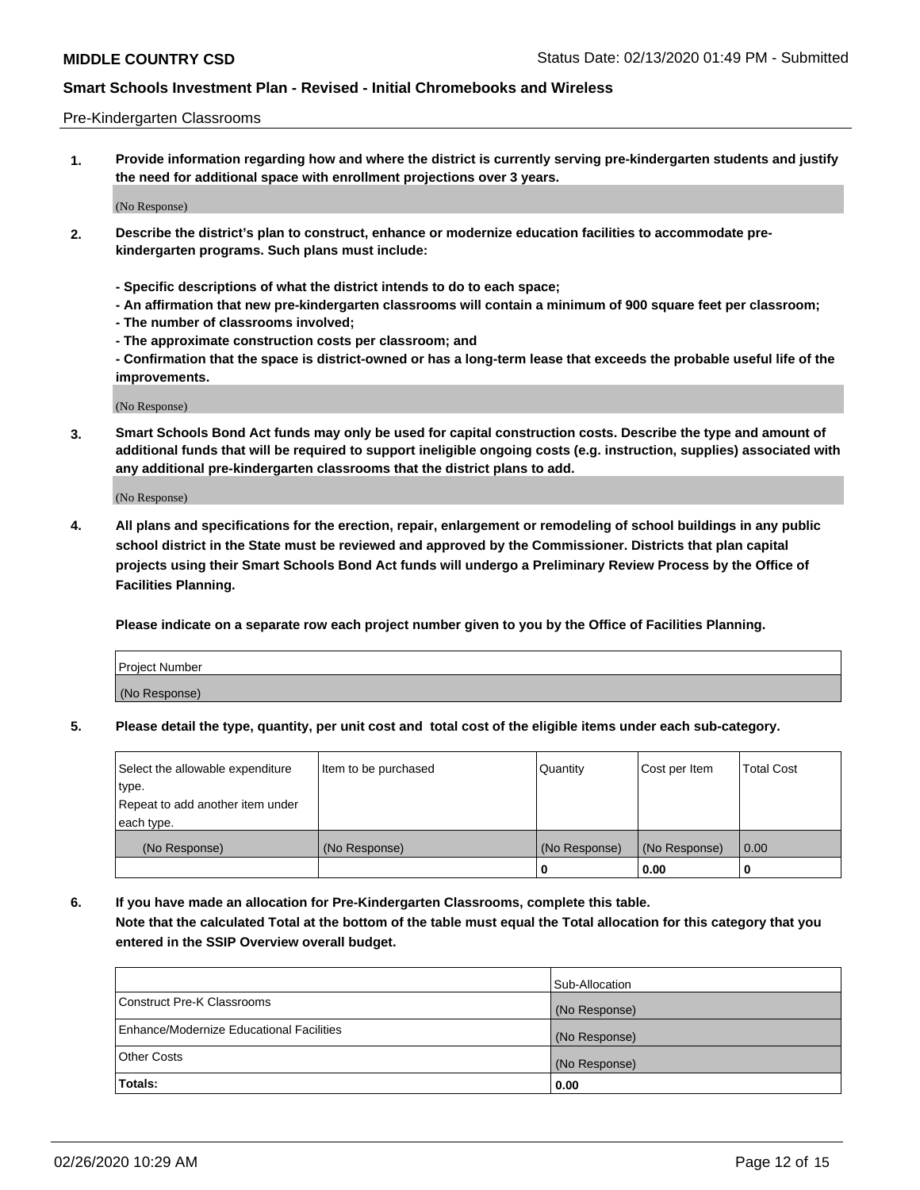#### Pre-Kindergarten Classrooms

**1. Provide information regarding how and where the district is currently serving pre-kindergarten students and justify the need for additional space with enrollment projections over 3 years.**

(No Response)

- **2. Describe the district's plan to construct, enhance or modernize education facilities to accommodate prekindergarten programs. Such plans must include:**
	- **Specific descriptions of what the district intends to do to each space;**
	- **An affirmation that new pre-kindergarten classrooms will contain a minimum of 900 square feet per classroom;**
	- **The number of classrooms involved;**
	- **The approximate construction costs per classroom; and**
	- **Confirmation that the space is district-owned or has a long-term lease that exceeds the probable useful life of the improvements.**

(No Response)

**3. Smart Schools Bond Act funds may only be used for capital construction costs. Describe the type and amount of additional funds that will be required to support ineligible ongoing costs (e.g. instruction, supplies) associated with any additional pre-kindergarten classrooms that the district plans to add.**

(No Response)

**4. All plans and specifications for the erection, repair, enlargement or remodeling of school buildings in any public school district in the State must be reviewed and approved by the Commissioner. Districts that plan capital projects using their Smart Schools Bond Act funds will undergo a Preliminary Review Process by the Office of Facilities Planning.**

**Please indicate on a separate row each project number given to you by the Office of Facilities Planning.**

| Project Number |  |
|----------------|--|
| (No Response)  |  |
|                |  |

**5. Please detail the type, quantity, per unit cost and total cost of the eligible items under each sub-category.**

| Select the allowable expenditure | Item to be purchased | Quantity      | Cost per Item | <b>Total Cost</b> |
|----------------------------------|----------------------|---------------|---------------|-------------------|
| type.                            |                      |               |               |                   |
| Repeat to add another item under |                      |               |               |                   |
| each type.                       |                      |               |               |                   |
| (No Response)                    | (No Response)        | (No Response) | (No Response) | 0.00              |
|                                  |                      | U             | 0.00          |                   |

**6. If you have made an allocation for Pre-Kindergarten Classrooms, complete this table. Note that the calculated Total at the bottom of the table must equal the Total allocation for this category that you entered in the SSIP Overview overall budget.**

|                                          | Sub-Allocation |
|------------------------------------------|----------------|
| Construct Pre-K Classrooms               | (No Response)  |
| Enhance/Modernize Educational Facilities | (No Response)  |
| <b>Other Costs</b>                       | (No Response)  |
| Totals:                                  | 0.00           |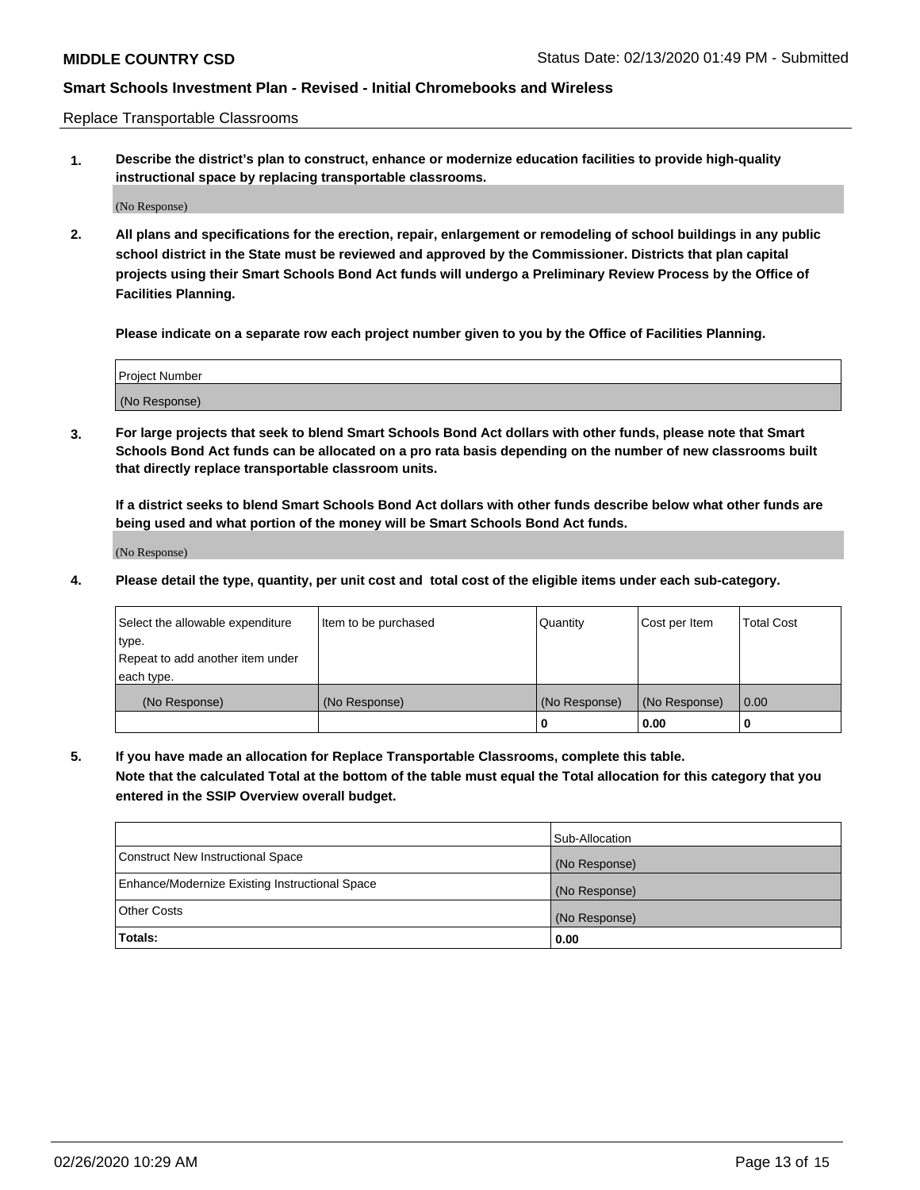Replace Transportable Classrooms

**1. Describe the district's plan to construct, enhance or modernize education facilities to provide high-quality instructional space by replacing transportable classrooms.**

(No Response)

**2. All plans and specifications for the erection, repair, enlargement or remodeling of school buildings in any public school district in the State must be reviewed and approved by the Commissioner. Districts that plan capital projects using their Smart Schools Bond Act funds will undergo a Preliminary Review Process by the Office of Facilities Planning.**

**Please indicate on a separate row each project number given to you by the Office of Facilities Planning.**

| Project Number |  |
|----------------|--|
|                |  |
|                |  |
|                |  |
| (No Response)  |  |
|                |  |
|                |  |

**3. For large projects that seek to blend Smart Schools Bond Act dollars with other funds, please note that Smart Schools Bond Act funds can be allocated on a pro rata basis depending on the number of new classrooms built that directly replace transportable classroom units.**

**If a district seeks to blend Smart Schools Bond Act dollars with other funds describe below what other funds are being used and what portion of the money will be Smart Schools Bond Act funds.**

(No Response)

**4. Please detail the type, quantity, per unit cost and total cost of the eligible items under each sub-category.**

| Select the allowable expenditure | Item to be purchased | Quantity      | Cost per Item | Total Cost |
|----------------------------------|----------------------|---------------|---------------|------------|
| ∣type.                           |                      |               |               |            |
| Repeat to add another item under |                      |               |               |            |
| each type.                       |                      |               |               |            |
| (No Response)                    | (No Response)        | (No Response) | (No Response) | 0.00       |
|                                  |                      | u             | 0.00          |            |

**5. If you have made an allocation for Replace Transportable Classrooms, complete this table. Note that the calculated Total at the bottom of the table must equal the Total allocation for this category that you entered in the SSIP Overview overall budget.**

|                                                | Sub-Allocation |
|------------------------------------------------|----------------|
| Construct New Instructional Space              | (No Response)  |
| Enhance/Modernize Existing Instructional Space | (No Response)  |
| <b>Other Costs</b>                             | (No Response)  |
| Totals:                                        | 0.00           |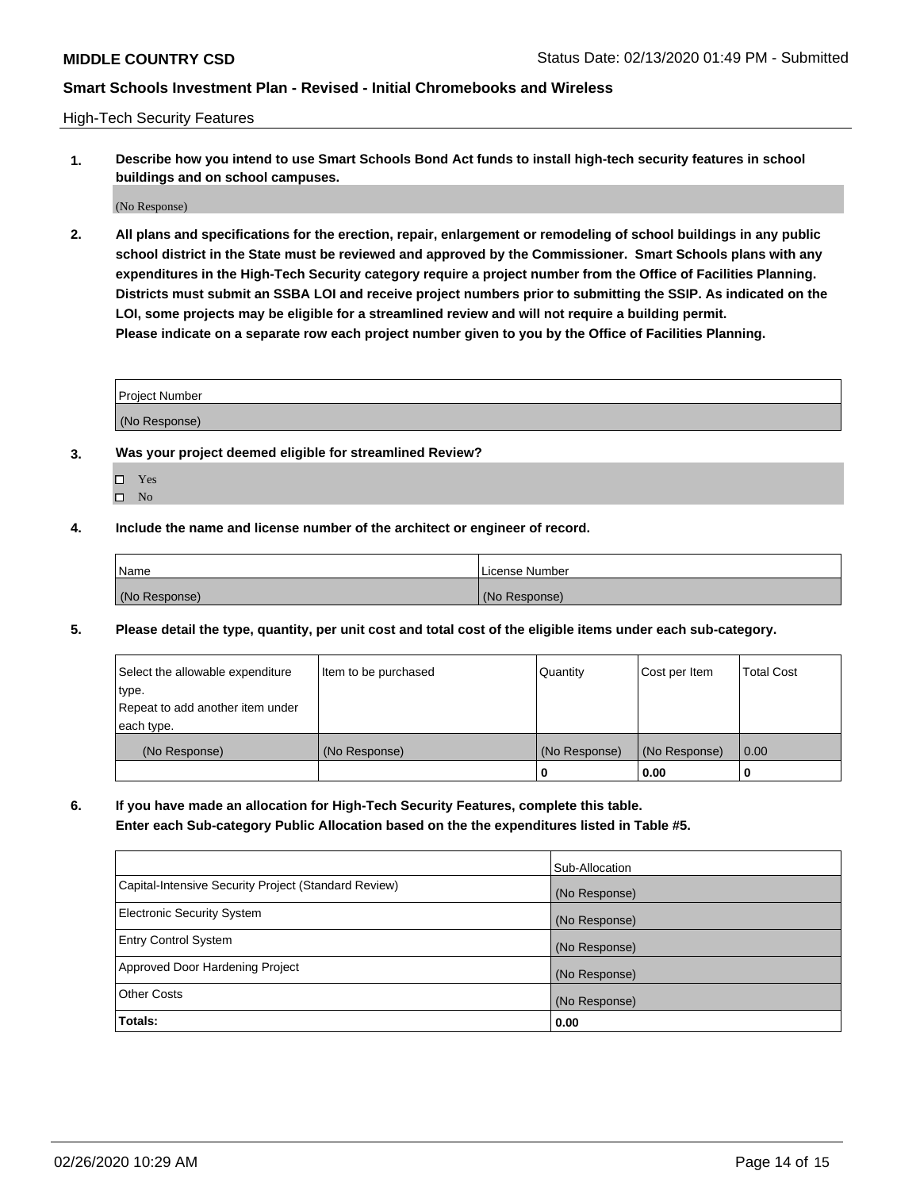High-Tech Security Features

**1. Describe how you intend to use Smart Schools Bond Act funds to install high-tech security features in school buildings and on school campuses.**

(No Response)

**2. All plans and specifications for the erection, repair, enlargement or remodeling of school buildings in any public school district in the State must be reviewed and approved by the Commissioner. Smart Schools plans with any expenditures in the High-Tech Security category require a project number from the Office of Facilities Planning. Districts must submit an SSBA LOI and receive project numbers prior to submitting the SSIP. As indicated on the LOI, some projects may be eligible for a streamlined review and will not require a building permit. Please indicate on a separate row each project number given to you by the Office of Facilities Planning.**

| <b>Project Number</b> |  |
|-----------------------|--|
| (No Response)         |  |

- **3. Was your project deemed eligible for streamlined Review?**
	- Yes
	- $\hfill \square$  No
- **4. Include the name and license number of the architect or engineer of record.**

| Name          | License Number |
|---------------|----------------|
| (No Response) | (No Response)  |

**5. Please detail the type, quantity, per unit cost and total cost of the eligible items under each sub-category.**

| Select the allowable expenditure | Item to be purchased | Quantity      | Cost per Item | Total Cost |
|----------------------------------|----------------------|---------------|---------------|------------|
| 'type.                           |                      |               |               |            |
| Repeat to add another item under |                      |               |               |            |
| each type.                       |                      |               |               |            |
| (No Response)                    | (No Response)        | (No Response) | (No Response) | 0.00       |
|                                  |                      | u             | 0.00          |            |

**6. If you have made an allocation for High-Tech Security Features, complete this table.**

**Enter each Sub-category Public Allocation based on the the expenditures listed in Table #5.**

|                                                      | Sub-Allocation |
|------------------------------------------------------|----------------|
| Capital-Intensive Security Project (Standard Review) | (No Response)  |
| <b>Electronic Security System</b>                    | (No Response)  |
| <b>Entry Control System</b>                          | (No Response)  |
| Approved Door Hardening Project                      | (No Response)  |
| <b>Other Costs</b>                                   | (No Response)  |
| Totals:                                              | 0.00           |